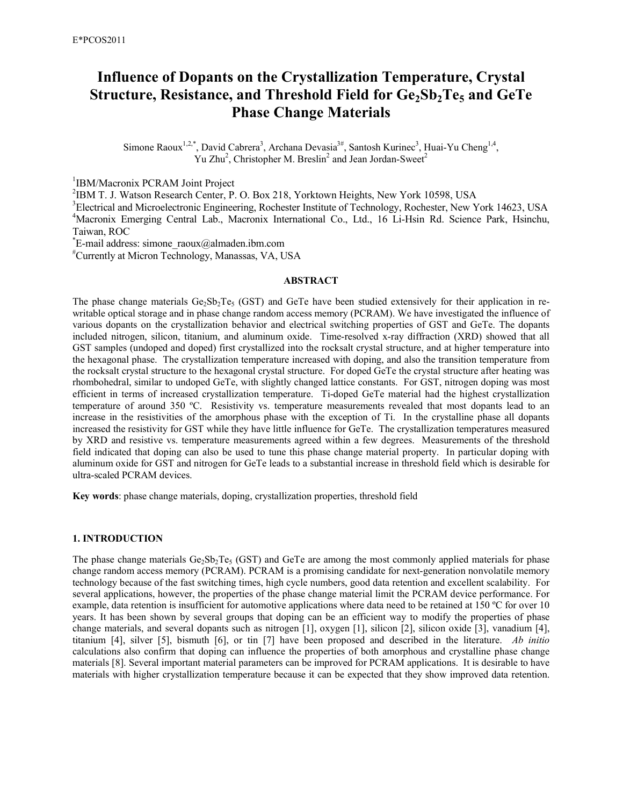# **Influence of Dopants on the Crystallization Temperature, Crystal Structure, Resistance, and Threshold Field for Ge2Sb2Te5 and GeTe Phase Change Materials**

Simone Raoux<sup>1,2,\*</sup>, David Cabrera<sup>3</sup>, Archana Devasia<sup>3#</sup>, Santosh Kurinec<sup>3</sup>, Huai-Yu Cheng<sup>1,4</sup>, Yu Zhu<sup>2</sup>, Christopher M. Breslin<sup>2</sup> and Jean Jordan-Sweet<sup>2</sup>

<sup>1</sup>IBM/Macronix PCRAM Joint Project

2 IBM T. J. Watson Research Center, P. O. Box 218, Yorktown Heights, New York 10598, USA

<sup>3</sup>Electrical and Microelectronic Engineering, Rochester Institute of Technology, Rochester, New York 14623, USA <sup>4</sup>Macronix Emerging Central Lab., Macronix International Co., Ltd., 16 Li-Hsin Rd. Science Park, Hsinchu, Taiwan, ROC

\* E-mail address: simone\_raoux@almaden.ibm.com

#Currently at Micron Technology, Manassas, VA, USA

# **ABSTRACT**

The phase change materials  $Ge_2Sb_2Te_5$  (GST) and GeTe have been studied extensively for their application in rewritable optical storage and in phase change random access memory (PCRAM). We have investigated the influence of various dopants on the crystallization behavior and electrical switching properties of GST and GeTe. The dopants included nitrogen, silicon, titanium, and aluminum oxide. Time-resolved x-ray diffraction (XRD) showed that all GST samples (undoped and doped) first crystallized into the rocksalt crystal structure, and at higher temperature into the hexagonal phase. The crystallization temperature increased with doping, and also the transition temperature from the rocksalt crystal structure to the hexagonal crystal structure. For doped GeTe the crystal structure after heating was rhombohedral, similar to undoped GeTe, with slightly changed lattice constants. For GST, nitrogen doping was most efficient in terms of increased crystallization temperature. Ti-doped GeTe material had the highest crystallization temperature of around 350 ºC. Resistivity vs. temperature measurements revealed that most dopants lead to an increase in the resistivities of the amorphous phase with the exception of Ti. In the crystalline phase all dopants increased the resistivity for GST while they have little influence for GeTe. The crystallization temperatures measured by XRD and resistive vs. temperature measurements agreed within a few degrees. Measurements of the threshold field indicated that doping can also be used to tune this phase change material property. In particular doping with aluminum oxide for GST and nitrogen for GeTe leads to a substantial increase in threshold field which is desirable for ultra-scaled PCRAM devices.

**Key words**: phase change materials, doping, crystallization properties, threshold field

## **1. INTRODUCTION**

The phase change materials  $Ge_2Sb_2Te_5$  (GST) and GeTe are among the most commonly applied materials for phase change random access memory (PCRAM). PCRAM is a promising candidate for next-generation nonvolatile memory technology because of the fast switching times, high cycle numbers, good data retention and excellent scalability. For several applications, however, the properties of the phase change material limit the PCRAM device performance. For example, data retention is insufficient for automotive applications where data need to be retained at 150 °C for over 10 years. It has been shown by several groups that doping can be an efficient way to modify the properties of phase change materials, and several dopants such as nitrogen [1], oxygen [1], silicon [2], silicon oxide [3], vanadium [4], titanium [4], silver [5], bismuth [6], or tin [7] have been proposed and described in the literature. *Ab initio* calculations also confirm that doping can influence the properties of both amorphous and crystalline phase change materials [8]. Several important material parameters can be improved for PCRAM applications. It is desirable to have materials with higher crystallization temperature because it can be expected that they show improved data retention.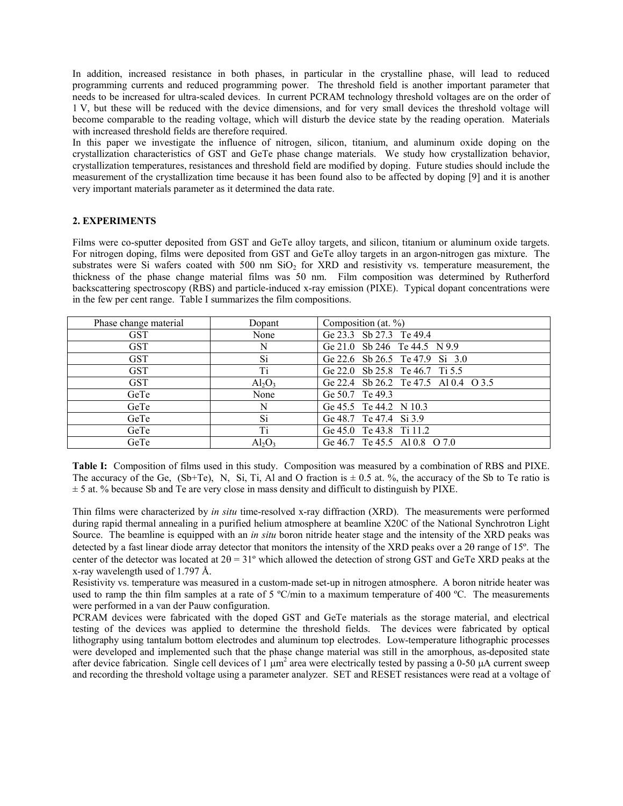In addition, increased resistance in both phases, in particular in the crystalline phase, will lead to reduced programming currents and reduced programming power. The threshold field is another important parameter that needs to be increased for ultra-scaled devices. In current PCRAM technology threshold voltages are on the order of 1 V, but these will be reduced with the device dimensions, and for very small devices the threshold voltage will become comparable to the reading voltage, which will disturb the device state by the reading operation. Materials with increased threshold fields are therefore required.

In this paper we investigate the influence of nitrogen, silicon, titanium, and aluminum oxide doping on the crystallization characteristics of GST and GeTe phase change materials. We study how crystallization behavior, crystallization temperatures, resistances and threshold field are modified by doping. Future studies should include the measurement of the crystallization time because it has been found also to be affected by doping [9] and it is another very important materials parameter as it determined the data rate.

# **2. EXPERIMENTS**

Films were co-sputter deposited from GST and GeTe alloy targets, and silicon, titanium or aluminum oxide targets. For nitrogen doping, films were deposited from GST and GeTe alloy targets in an argon-nitrogen gas mixture. The substrates were Si wafers coated with 500 nm SiO<sub>2</sub> for XRD and resistivity vs. temperature measurement, the thickness of the phase change material films was 50 nm. Film composition was determined by Rutherford backscattering spectroscopy (RBS) and particle-induced x-ray emission (PIXE). Typical dopant concentrations were in the few per cent range. Table I summarizes the film compositions.

| Phase change material | Dopant                  | Composition (at. $\%$ )              |
|-----------------------|-------------------------|--------------------------------------|
| <b>GST</b>            | None                    | Ge 23.3 Sb 27.3 Te 49.4              |
| <b>GST</b>            | N                       | Ge 21.0 Sb 246 Te 44.5 N 9.9         |
| <b>GST</b>            | Si                      | Ge 22.6 Sb 26.5 Te 47.9 Si 3.0       |
| <b>GST</b>            | Ti                      | Ge 22.0 Sb 25.8 Te 46.7 Ti 5.5       |
| <b>GST</b>            | $Al_2O_3$               | Ge 22.4 Sb 26.2 Te 47.5 Al 0.4 O 3.5 |
| GeTe                  | None                    | Ge 50.7 Te 49.3                      |
| GeTe                  | N                       | Ge 45.5 Te 44.2 N 10.3               |
| GeTe                  | Si                      | Ge 48.7 Te 47.4 Si 3.9               |
| GeTe                  | Ti                      | Ge 45.0 Te 43.8 Ti 11.2              |
| GeTe                  | $\text{Al}_2\text{O}_3$ | Ge 46.7 Te 45.5 Al 0.8 O 7.0         |

**Table I:** Composition of films used in this study. Composition was measured by a combination of RBS and PIXE. The accuracy of the Ge, (Sb+Te), N, Si, Ti, Al and O fraction is  $\pm$  0.5 at. %, the accuracy of the Sb to Te ratio is  $\pm$  5 at. % because Sb and Te are very close in mass density and difficult to distinguish by PIXE.

Thin films were characterized by *in situ* time-resolved x-ray diffraction (XRD). The measurements were performed during rapid thermal annealing in a purified helium atmosphere at beamline X20C of the National Synchrotron Light Source. The beamline is equipped with an *in situ* boron nitride heater stage and the intensity of the XRD peaks was detected by a fast linear diode array detector that monitors the intensity of the XRD peaks over a 2θ range of 15º. The center of the detector was located at 2θ = 31º which allowed the detection of strong GST and GeTe XRD peaks at the x-ray wavelength used of 1.797 Å.

Resistivity vs. temperature was measured in a custom-made set-up in nitrogen atmosphere. A boron nitride heater was used to ramp the thin film samples at a rate of  $5 \degree C/\text{min}$  to a maximum temperature of 400 °C. The measurements were performed in a van der Pauw configuration.

PCRAM devices were fabricated with the doped GST and GeTe materials as the storage material, and electrical testing of the devices was applied to determine the threshold fields. The devices were fabricated by optical lithography using tantalum bottom electrodes and aluminum top electrodes. Low-temperature lithographic processes were developed and implemented such that the phase change material was still in the amorphous, as-deposited state after device fabrication. Single cell devices of 1  $\mu$ m<sup>2</sup> area were electrically tested by passing a 0-50  $\mu$ A current sweep and recording the threshold voltage using a parameter analyzer. SET and RESET resistances were read at a voltage of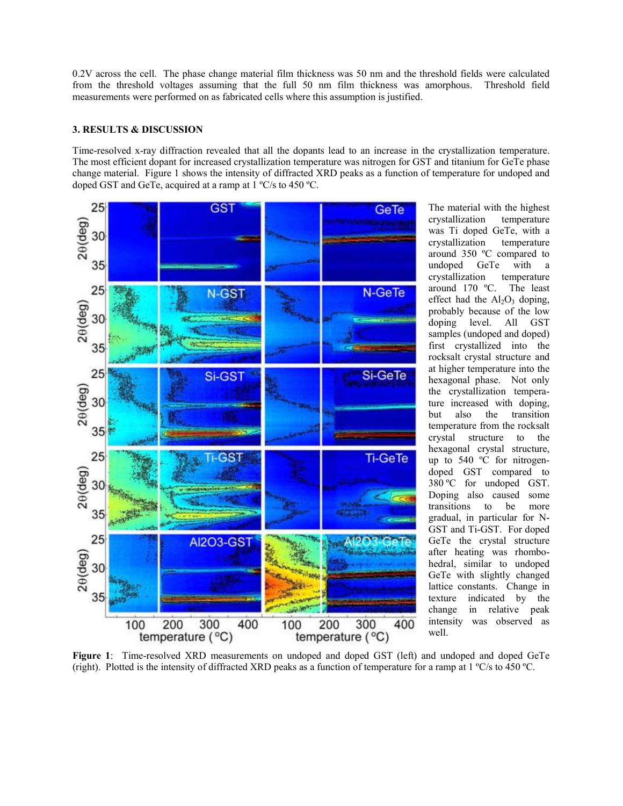0.2V across the cell. The phase change material film thickness was 50 nm and the threshold fields were calculated from the threshold voltages assuming that the full 50 nm film thickness was amorphous. Threshold field measurements were performed on as fabricated cells where this assumption is justified.

# **3. RESULTS & DISCUSSION**

Time-resolved x-ray diffraction revealed that all the dopants lead to an increase in the crystallization temperature. The most efficient dopant for increased crystallization temperature was nitrogen for GST and titanium for GeTe phase change material. Figure 1 shows the intensity of diffracted XRD peaks as a function of temperature for undoped and doped GST and GeTe, acquired at a ramp at 1 ºC/s to 450 ºC.



The material with the highest crystallization temperature was Ti doped GeTe, with a crystallization temperature around 350 ºC compared to undoped GeTe with a crystallization temperature around 170 ºC. The least effect had the  $Al_2O_3$  doping, probably because of the low doping level. All GST samples (undoped and doped) first crystallized into the rocksalt crystal structure and at higher temperature into the hexagonal phase. Not only the crystallization temperature increased with doping, but also the transition temperature from the rocksalt crystal structure to the hexagonal crystal structure, up to 540 ºC for nitrogendoped GST compared to 380 ºC for undoped GST. Doping also caused some transitions to be more gradual, in particular for N-GST and Ti-GST. For doped GeTe the crystal structure after heating was rhombohedral, similar to undoped GeTe with slightly changed lattice constants. Change in texture indicated by the change in relative peak intensity was observed as well.

**Figure 1**: Time-resolved XRD measurements on undoped and doped GST (left) and undoped and doped GeTe (right). Plotted is the intensity of diffracted XRD peaks as a function of temperature for a ramp at 1 ºC/s to 450 ºC.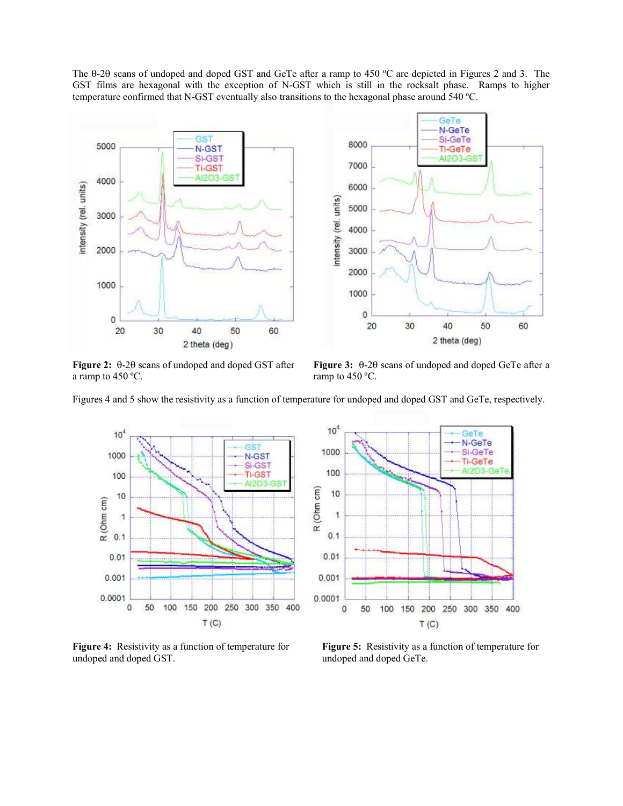The θ-2θ scans of undoped and doped GST and GeTe after a ramp to 450 ºC are depicted in Figures 2 and 3. The GST films are hexagonal with the exception of N-GST which is still in the rocksalt phase. Ramps to higher temperature confirmed that N-GST eventually also transitions to the hexagonal phase around 540 ºC.



a ramp to  $450 \, \text{°C}$ . ramp to  $450 \, \text{°C}$ .

**Figure 2:** θ-2θ scans of undoped and doped GST after **Figure 3:** θ-2θ scans of undoped and doped GeTe after a

Figures 4 and 5 show the resistivity as a function of temperature for undoped and doped GST and GeTe, respectively.



undoped and doped GST. The contract of the undoped and doped GeTe.



**Figure 4:** Resistivity as a function of temperature for **Figure 5:** Resistivity as a function of temperature for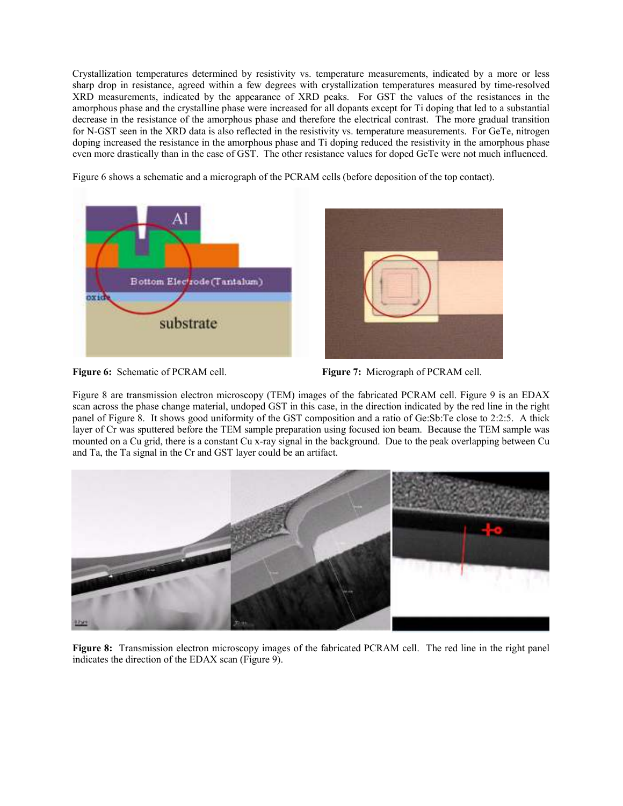Crystallization temperatures determined by resistivity vs. temperature measurements, indicated by a more or less sharp drop in resistance, agreed within a few degrees with crystallization temperatures measured by time-resolved XRD measurements, indicated by the appearance of XRD peaks. For GST the values of the resistances in the amorphous phase and the crystalline phase were increased for all dopants except for Ti doping that led to a substantial decrease in the resistance of the amorphous phase and therefore the electrical contrast. The more gradual transition for N-GST seen in the XRD data is also reflected in the resistivity vs. temperature measurements. For GeTe, nitrogen doping increased the resistance in the amorphous phase and Ti doping reduced the resistivity in the amorphous phase even more drastically than in the case of GST. The other resistance values for doped GeTe were not much influenced.

Figure 6 shows a schematic and a micrograph of the PCRAM cells (before deposition of the top contact).





**Figure 6:** Schematic of PCRAM cell. **Figure 7:** Micrograph of PCRAM cell.

Figure 8 are transmission electron microscopy (TEM) images of the fabricated PCRAM cell. Figure 9 is an EDAX scan across the phase change material, undoped GST in this case, in the direction indicated by the red line in the right panel of Figure 8. It shows good uniformity of the GST composition and a ratio of Ge:Sb:Te close to 2:2:5. A thick layer of Cr was sputtered before the TEM sample preparation using focused ion beam. Because the TEM sample was mounted on a Cu grid, there is a constant Cu x-ray signal in the background. Due to the peak overlapping between Cu and Ta, the Ta signal in the Cr and GST layer could be an artifact.



**Figure 8:** Transmission electron microscopy images of the fabricated PCRAM cell. The red line in the right panel indicates the direction of the EDAX scan (Figure 9).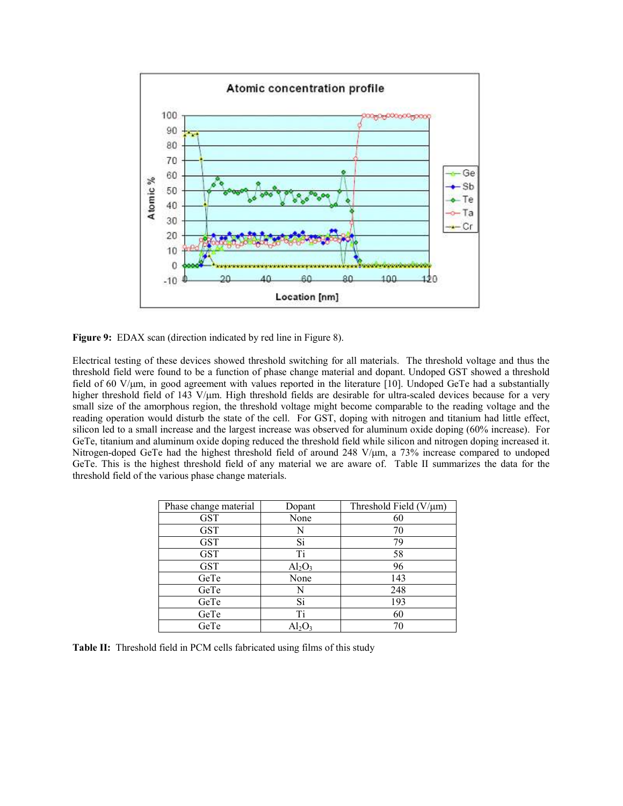

**Figure 9:** EDAX scan (direction indicated by red line in Figure 8).

Electrical testing of these devices showed threshold switching for all materials. The threshold voltage and thus the threshold field were found to be a function of phase change material and dopant. Undoped GST showed a threshold field of 60 V/ $\mu$ m, in good agreement with values reported in the literature [10]. Undoped GeTe had a substantially higher threshold field of 143 V/µm. High threshold fields are desirable for ultra-scaled devices because for a very small size of the amorphous region, the threshold voltage might become comparable to the reading voltage and the reading operation would disturb the state of the cell. For GST, doping with nitrogen and titanium had little effect, silicon led to a small increase and the largest increase was observed for aluminum oxide doping (60% increase). For GeTe, titanium and aluminum oxide doping reduced the threshold field while silicon and nitrogen doping increased it. Nitrogen-doped GeTe had the highest threshold field of around 248 V/ $\mu$ m, a 73% increase compared to undoped GeTe. This is the highest threshold field of any material we are aware of. Table II summarizes the data for the threshold field of the various phase change materials.

| Phase change material | Dopant                  | Threshold Field ( $V/\mu$ m) |
|-----------------------|-------------------------|------------------------------|
| <b>GST</b>            | None                    | 60                           |
| <b>GST</b>            | N                       | 70                           |
| <b>GST</b>            | Si                      | 79                           |
| <b>GST</b>            | Ti                      | 58                           |
| <b>GST</b>            | $\text{Al}_2\text{O}_3$ | 96                           |
| GeTe                  | None                    | 143                          |
| GeTe                  | N                       | 248                          |
| GeTe                  | Si                      | 193                          |
| GeTe                  | Ti                      | 60                           |
| GeTe                  |                         | 70                           |

**Table II:** Threshold field in PCM cells fabricated using films of this study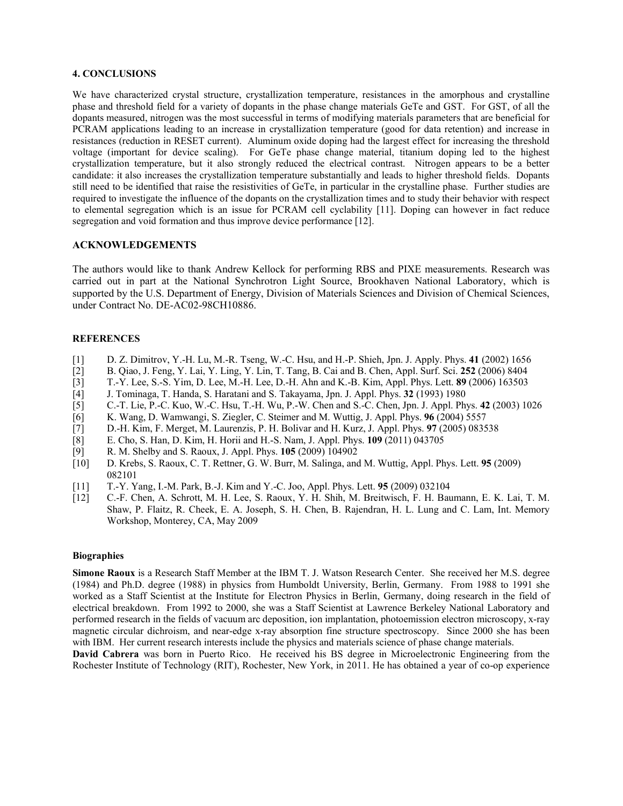# **4. CONCLUSIONS**

We have characterized crystal structure, crystallization temperature, resistances in the amorphous and crystalline phase and threshold field for a variety of dopants in the phase change materials GeTe and GST. For GST, of all the dopants measured, nitrogen was the most successful in terms of modifying materials parameters that are beneficial for PCRAM applications leading to an increase in crystallization temperature (good for data retention) and increase in resistances (reduction in RESET current). Aluminum oxide doping had the largest effect for increasing the threshold voltage (important for device scaling). For GeTe phase change material, titanium doping led to the highest crystallization temperature, but it also strongly reduced the electrical contrast. Nitrogen appears to be a better candidate: it also increases the crystallization temperature substantially and leads to higher threshold fields. Dopants still need to be identified that raise the resistivities of GeTe, in particular in the crystalline phase. Further studies are required to investigate the influence of the dopants on the crystallization times and to study their behavior with respect to elemental segregation which is an issue for PCRAM cell cyclability [11]. Doping can however in fact reduce segregation and void formation and thus improve device performance [12].

## **ACKNOWLEDGEMENTS**

The authors would like to thank Andrew Kellock for performing RBS and PIXE measurements. Research was carried out in part at the National Synchrotron Light Source, Brookhaven National Laboratory, which is supported by the U.S. Department of Energy, Division of Materials Sciences and Division of Chemical Sciences, under Contract No. DE-AC02-98CH10886.

#### **REFERENCES**

- [1] D. Z. Dimitrov, Y.-H. Lu, M.-R. Tseng, W.-C. Hsu, and H.-P. Shieh, Jpn. J. Apply. Phys. **41** (2002) 1656
- [2] B. Qiao, J. Feng, Y. Lai, Y. Ling, Y. Lin, T. Tang, B. Cai and B. Chen, Appl. Surf. Sci. **252** (2006) 8404
- [3] T.-Y. Lee, S.-S. Yim, D. Lee, M.-H. Lee, D.-H. Ahn and K.-B. Kim, Appl. Phys. Lett. **89** (2006) 163503
- [4] J. Tominaga, T. Handa, S. Haratani and S. Takayama, Jpn. J. Appl. Phys. **32** (1993) 1980
- [5] C.-T. Lie, P.-C. Kuo, W.-C. Hsu, T.-H. Wu, P.-W. Chen and S.-C. Chen, Jpn. J. Appl. Phys. **42** (2003) 1026
- [6] K. Wang, D. Wamwangi, S. Ziegler, C. Steimer and M. Wuttig, J. Appl. Phys. **96** (2004) 5557
- [7] D.-H. Kim, F. Merget, M. Laurenzis, P. H. Bolivar and H. Kurz, J. Appl. Phys. **97** (2005) 083538
- [8] E. Cho, S. Han, D. Kim, H. Horii and H.-S. Nam, J. Appl. Phys. **109** (2011) 043705
- [9] R. M. Shelby and S. Raoux, J. Appl. Phys. **105** (2009) 104902
- [10] D. Krebs, S. Raoux, C. T. Rettner, G. W. Burr, M. Salinga, and M. Wuttig, Appl. Phys. Lett. **95** (2009) 082101
- [11] T.-Y. Yang, I.-M. Park, B.-J. Kim and Y.-C. Joo, Appl. Phys. Lett. **95** (2009) 032104
- [12] C.-F. Chen, A. Schrott, M. H. Lee, S. Raoux, Y. H. Shih, M. Breitwisch, F. H. Baumann, E. K. Lai, T. M. Shaw, P. Flaitz, R. Cheek, E. A. Joseph, S. H. Chen, B. Rajendran, H. L. Lung and C. Lam, Int. Memory Workshop, Monterey, CA, May 2009

#### **Biographies**

**Simone Raoux** is a Research Staff Member at the IBM T. J. Watson Research Center. She received her M.S. degree (1984) and Ph.D. degree (1988) in physics from Humboldt University, Berlin, Germany. From 1988 to 1991 she worked as a Staff Scientist at the Institute for Electron Physics in Berlin, Germany, doing research in the field of electrical breakdown. From 1992 to 2000, she was a Staff Scientist at Lawrence Berkeley National Laboratory and performed research in the fields of vacuum arc deposition, ion implantation, photoemission electron microscopy, x-ray magnetic circular dichroism, and near-edge x-ray absorption fine structure spectroscopy. Since 2000 she has been with IBM. Her current research interests include the physics and materials science of phase change materials.

**David Cabrera** was born in Puerto Rico. He received his BS degree in Microelectronic Engineering from the Rochester Institute of Technology (RIT), Rochester, New York, in 2011. He has obtained a year of co-op experience